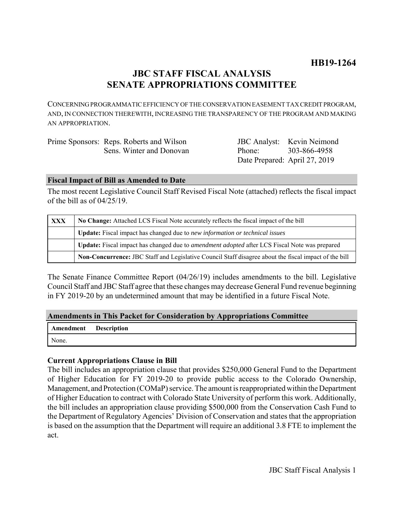# **JBC STAFF FISCAL ANALYSIS SENATE APPROPRIATIONS COMMITTEE**

CONCERNING PROGRAMMATIC EFFICIENCY OF THE CONSERVATION EASEMENT TAX CREDIT PROGRAM, AND, IN CONNECTION THEREWITH, INCREASING THE TRANSPARENCY OF THE PROGRAM AND MAKING AN APPROPRIATION.

| Prime Sponsors: Reps. Roberts and Wilson |                               | <b>JBC</b> Analyst: Kevin Neimond |
|------------------------------------------|-------------------------------|-----------------------------------|
| Sens. Winter and Donovan                 | Phone: 303-866-4958           |                                   |
|                                          | Date Prepared: April 27, 2019 |                                   |

# **Fiscal Impact of Bill as Amended to Date**

The most recent Legislative Council Staff Revised Fiscal Note (attached) reflects the fiscal impact of the bill as of 04/25/19.

| <b>XXX</b> | No Change: Attached LCS Fiscal Note accurately reflects the fiscal impact of the bill                 |  |
|------------|-------------------------------------------------------------------------------------------------------|--|
|            | Update: Fiscal impact has changed due to new information or technical issues                          |  |
|            | Update: Fiscal impact has changed due to <i>amendment adopted</i> after LCS Fiscal Note was prepared  |  |
|            | Non-Concurrence: JBC Staff and Legislative Council Staff disagree about the fiscal impact of the bill |  |

The Senate Finance Committee Report (04/26/19) includes amendments to the bill. Legislative Council Staff and JBC Staff agree that these changes may decrease General Fund revenue beginning in FY 2019-20 by an undetermined amount that may be identified in a future Fiscal Note.

# **Amendments in This Packet for Consideration by Appropriations Committee**

| <b>Amendment</b> Description |  |
|------------------------------|--|
| None.                        |  |

# **Current Appropriations Clause in Bill**

The bill includes an appropriation clause that provides \$250,000 General Fund to the Department of Higher Education for FY 2019-20 to provide public access to the Colorado Ownership, Management, and Protection (COMaP) service. The amount is reappropriated within the Department of Higher Education to contract with Colorado State University of perform this work. Additionally, the bill includes an appropriation clause providing \$500,000 from the Conservation Cash Fund to the Department of Regulatory Agencies' Division of Conservation and states that the appropriation is based on the assumption that the Department will require an additional 3.8 FTE to implement the act.